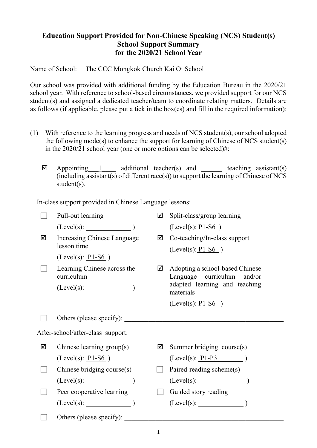## **Education Support Provided for Non-Chinese Speaking (NCS) Student(s) School Support Summary for the 2020/21 School Year**

Name of School: The CCC Mongkok Church Kai Oi School

Our school was provided with additional funding by the Education Bureau in the 2020/21 school year. With reference to school-based circumstances, we provided support for our NCS student(s) and assigned a dedicated teacher/team to coordinate relating matters. Details are as follows (if applicable, please put a tick in the box(es) and fill in the required information):

- (1) With reference to the learning progress and needs of NCS student(s), our school adopted the following mode(s) to enhance the support for learning of Chinese of NCS student(s) in the 2020/21 school year (one or more options can be selected)#:
	- $\boxtimes$  Appointing 1 additional teacher(s) and teaching assistant(s) (including assistant(s) of different race(s)) to support the learning of Chinese of NCS student(s).

In-class support provided in Chinese Language lessons:

|                                   | Pull-out learning                         | ☑ | Split-class/group learning                                    |
|-----------------------------------|-------------------------------------------|---|---------------------------------------------------------------|
|                                   | $(Level(s):$ $)$                          |   | $(Level(s): P1-S6)$                                           |
| ☑                                 | Increasing Chinese Language               | ☑ | Co-teaching/In-class support                                  |
|                                   | lesson time                               |   | $(Level(s): P1-S6)$                                           |
|                                   | (Level(s): $P1-S6$ )                      |   |                                                               |
|                                   | Learning Chinese across the<br>curriculum | ☑ | Adopting a school-based Chinese<br>Language curriculum and/or |
|                                   | $(Level(s):$ $)$                          |   | adapted learning and teaching<br>materials                    |
|                                   |                                           |   | $(Level(s): P1-S6)$                                           |
|                                   | Others (please specify):                  |   |                                                               |
| After-school/after-class support: |                                           |   |                                                               |
| ☑                                 | Chinese learning group(s)                 | ☑ | Summer bridging course(s)                                     |
|                                   | $(Level(s): P1-S6)$                       |   | $(Level(s): P1-P3$                                            |
|                                   | Chinese bridging course $(s)$             |   | Paired-reading scheme(s)                                      |
|                                   |                                           |   |                                                               |
|                                   | Peer cooperative learning                 |   | Guided story reading                                          |
|                                   | $(Level(s):$ (Level(s):                   |   |                                                               |
|                                   | Others (please specify):                  |   |                                                               |

1